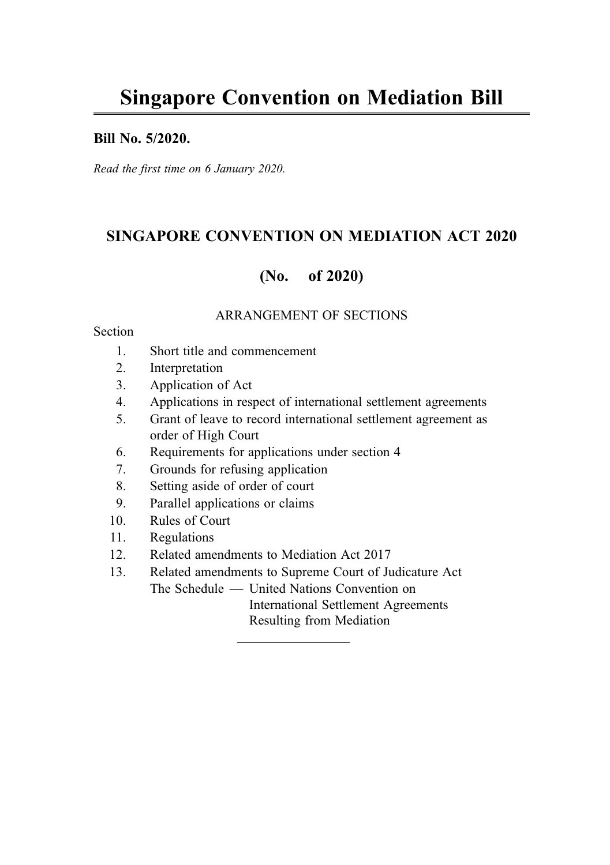## Bill No. 5/2020.

Read the first time on 6 January 2020.

## SINGAPORE CONVENTION ON MEDIATION ACT 2020

# (No. of 2020)

## ARRANGEMENT OF SECTIONS

## Section

- 1. Short title and commencement
- 2. Interpretation
- 3. Application of Act
- 4. Applications in respect of international settlement agreements
- 5. Grant of leave to record international settlement agreement as order of High Court
- 6. Requirements for applications under section 4
- 7. Grounds for refusing application
- 8. Setting aside of order of court
- 9. Parallel applications or claims
- 10. Rules of Court
- 11. Regulations
- 12. Related amendments to Mediation Act 2017
- 13. Related amendments to Supreme Court of Judicature Act

The Schedule — United Nations Convention on International Settlement Agreements Resulting from Mediation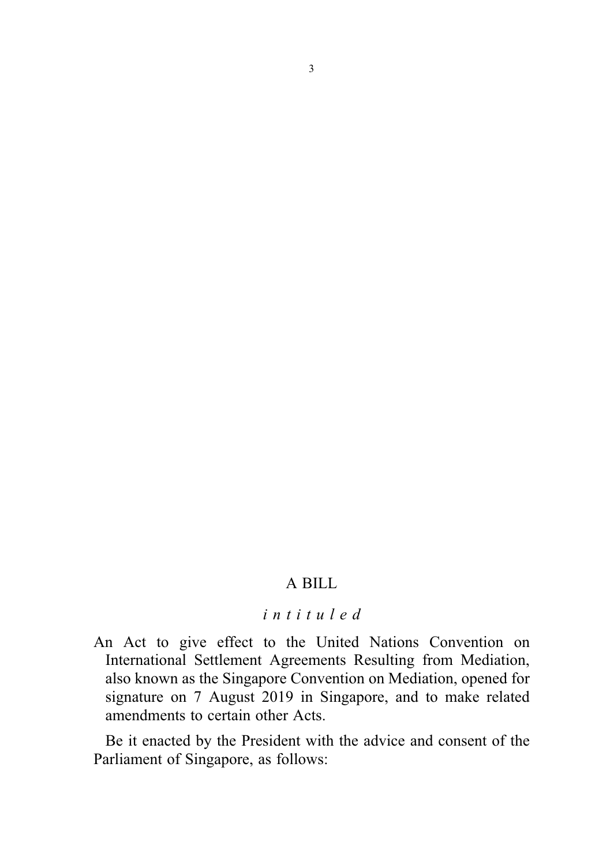# A BILL

## intituled

An Act to give effect to the United Nations Convention on International Settlement Agreements Resulting from Mediation, also known as the Singapore Convention on Mediation, opened for signature on 7 August 2019 in Singapore, and to make related amendments to certain other Acts.

Be it enacted by the President with the advice and consent of the Parliament of Singapore, as follows: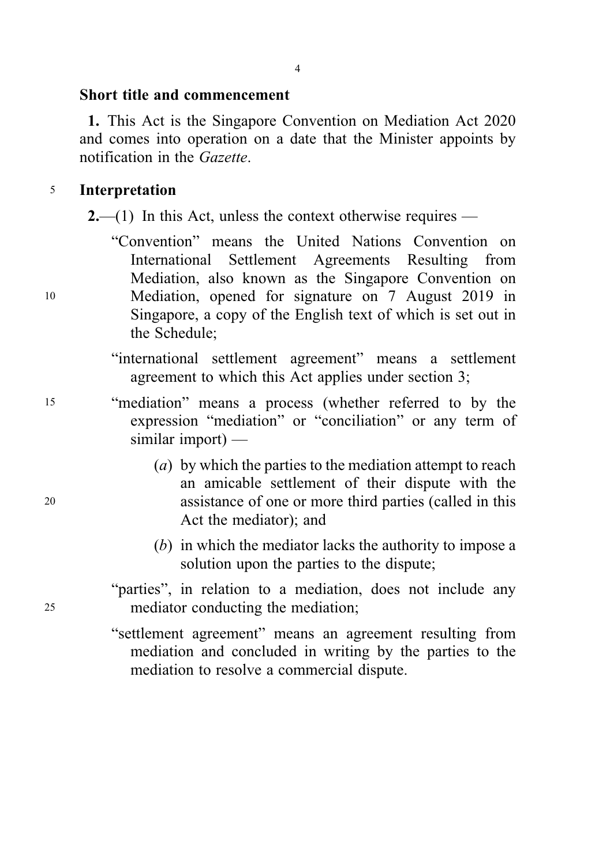## Short title and commencement

1. This Act is the Singapore Convention on Mediation Act 2020 and comes into operation on a date that the Minister appoints by notification in the Gazette.

## <sup>5</sup> Interpretation

- 2.—(1) In this Act, unless the context otherwise requires —
- "Convention" means the United Nations Convention on International Settlement Agreements Resulting from Mediation, also known as the Singapore Convention on <sup>10</sup> Mediation, opened for signature on 7 August 2019 in Singapore, a copy of the English text of which is set out in the Schedule;

"international settlement agreement" means a settlement agreement to which this Act applies under section 3;

- <sup>15</sup> "mediation" means a process (whether referred to by the expression "mediation" or "conciliation" or any term of similar import) —
- (a) by which the parties to the mediation attempt to reach an amicable settlement of their dispute with the <sup>20</sup> assistance of one or more third parties (called in this Act the mediator); and
	- (b) in which the mediator lacks the authority to impose a solution upon the parties to the dispute;
- "parties", in relation to a mediation, does not include any <sup>25</sup> mediator conducting the mediation;
	- "settlement agreement" means an agreement resulting from mediation and concluded in writing by the parties to the mediation to resolve a commercial dispute.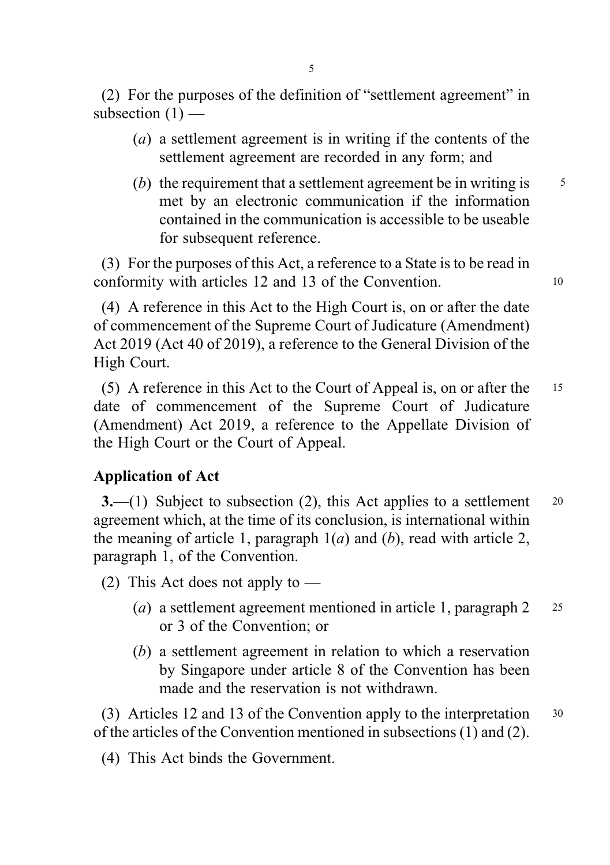(2) For the purposes of the definition of "settlement agreement" in subsection  $(1)$  —

- (a) a settlement agreement is in writing if the contents of the settlement agreement are recorded in any form; and
- (b) the requirement that a settlement agreement be in writing is  $\frac{5}{5}$ met by an electronic communication if the information contained in the communication is accessible to be useable for subsequent reference.

(3) For the purposes of this Act, a reference to a State is to be read in conformity with articles 12 and 13 of the Convention. <sup>10</sup>

(4) A reference in this Act to the High Court is, on or after the date of commencement of the Supreme Court of Judicature (Amendment) Act 2019 (Act 40 of 2019), a reference to the General Division of the High Court.

(5) A reference in this Act to the Court of Appeal is, on or after the <sup>15</sup> date of commencement of the Supreme Court of Judicature (Amendment) Act 2019, a reference to the Appellate Division of the High Court or the Court of Appeal.

# Application of Act

**3.**—(1) Subject to subsection (2), this Act applies to a settlement  $20$ agreement which, at the time of its conclusion, is international within the meaning of article 1, paragraph  $1(a)$  and  $(b)$ , read with article 2, paragraph 1, of the Convention.

- (2) This Act does not apply to
	- (*a*) a settlement agreement mentioned in article 1, paragraph  $2 \times 25$ or 3 of the Convention; or
	- (b) a settlement agreement in relation to which a reservation by Singapore under article 8 of the Convention has been made and the reservation is not withdrawn.

(3) Articles 12 and 13 of the Convention apply to the interpretation <sup>30</sup> of the articles of the Convention mentioned in subsections (1) and (2).

(4) This Act binds the Government.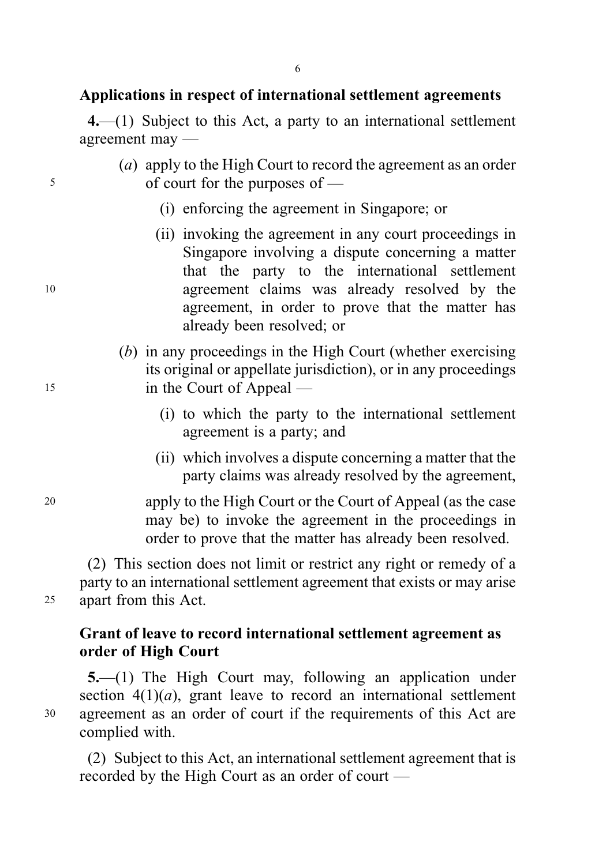## Applications in respect of international settlement agreements

4.—(1) Subject to this Act, a party to an international settlement agreement may —

- (a) apply to the High Court to record the agreement as an order <sup>5</sup> of court for the purposes of —
	- (i) enforcing the agreement in Singapore; or
- (ii) invoking the agreement in any court proceedings in Singapore involving a dispute concerning a matter that the party to the international settlement <sup>10</sup> agreement claims was already resolved by the agreement, in order to prove that the matter has already been resolved; or
- (b) in any proceedings in the High Court (whether exercising its original or appellate jurisdiction), or in any proceedings 15 in the Court of Appeal —
	- (i) to which the party to the international settlement agreement is a party; and
	- (ii) which involves a dispute concerning a matter that the party claims was already resolved by the agreement,

<sup>20</sup> apply to the High Court or the Court of Appeal (as the case may be) to invoke the agreement in the proceedings in order to prove that the matter has already been resolved.

(2) This section does not limit or restrict any right or remedy of a party to an international settlement agreement that exists or may arise <sup>25</sup> apart from this Act.

# Grant of leave to record international settlement agreement as order of High Court

5.—(1) The High Court may, following an application under section  $4(1)(a)$ , grant leave to record an international settlement <sup>30</sup> agreement as an order of court if the requirements of this Act are complied with.

(2) Subject to this Act, an international settlement agreement that is recorded by the High Court as an order of court —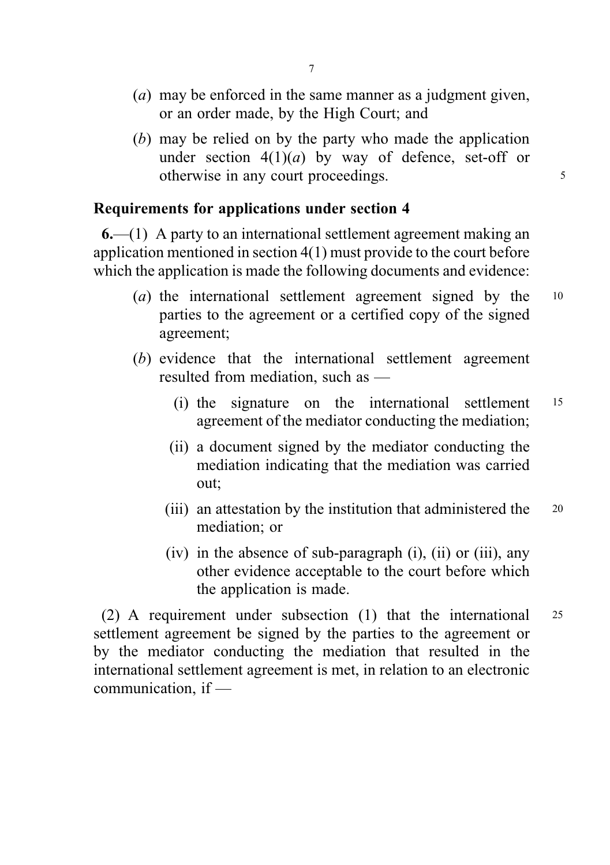- (a) may be enforced in the same manner as a judgment given, or an order made, by the High Court; and
- (b) may be relied on by the party who made the application under section  $4(1)(a)$  by way of defence, set-off or otherwise in any court proceedings.

# Requirements for applications under section 4

6.—(1) A party to an international settlement agreement making an application mentioned in section 4(1) must provide to the court before which the application is made the following documents and evidence:

- (a) the international settlement agreement signed by the 10 parties to the agreement or a certified copy of the signed agreement;
- (b) evidence that the international settlement agreement resulted from mediation, such as —
	- (i) the signature on the international settlement <sup>15</sup> agreement of the mediator conducting the mediation;
	- (ii) a document signed by the mediator conducting the mediation indicating that the mediation was carried out;
	- (iii) an attestation by the institution that administered the 20 mediation; or
	- (iv) in the absence of sub-paragraph (i), (ii) or (iii), any other evidence acceptable to the court before which the application is made.

(2) A requirement under subsection (1) that the international <sup>25</sup> settlement agreement be signed by the parties to the agreement or by the mediator conducting the mediation that resulted in the international settlement agreement is met, in relation to an electronic communication, if —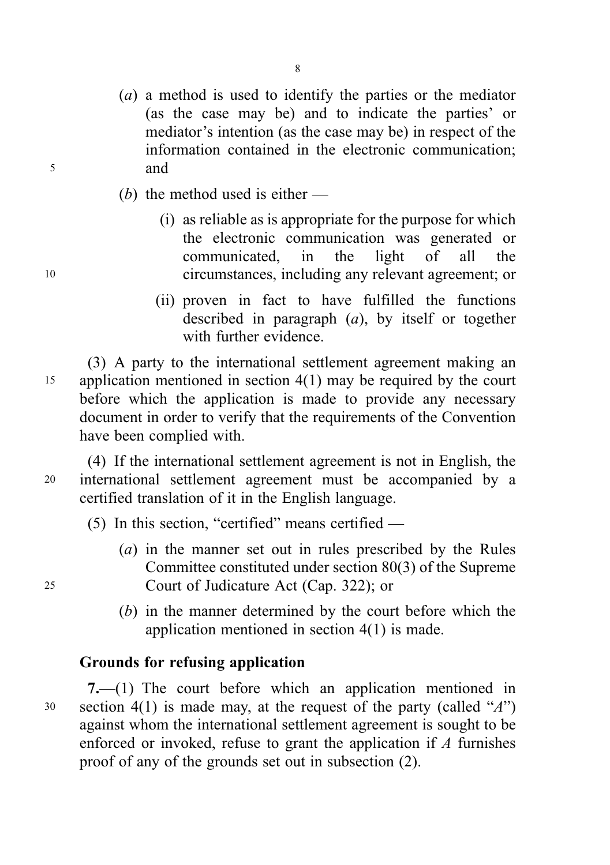- (a) a method is used to identify the parties or the mediator (as the case may be) and to indicate the parties' or mediator's intention (as the case may be) in respect of the information contained in the electronic communication; <sup>5</sup> and
	- (b) the method used is either  $-$
- (i) as reliable as is appropriate for the purpose for which the electronic communication was generated or communicated, in the light of all the <sup>10</sup> circumstances, including any relevant agreement; or
	- (ii) proven in fact to have fulfilled the functions described in paragraph  $(a)$ , by itself or together with further evidence

(3) A party to the international settlement agreement making an 15 application mentioned in section 4(1) may be required by the court before which the application is made to provide any necessary document in order to verify that the requirements of the Convention have been complied with.

(4) If the international settlement agreement is not in English, the <sup>20</sup> international settlement agreement must be accompanied by a certified translation of it in the English language.

- (5) In this section, "certified" means certified —
- (a) in the manner set out in rules prescribed by the Rules Committee constituted under section 80(3) of the Supreme <sup>25</sup> Court of Judicature Act (Cap. 322); or
	- (b) in the manner determined by the court before which the application mentioned in section 4(1) is made.

# Grounds for refusing application

7.—(1) The court before which an application mentioned in 30 section 4(1) is made may, at the request of the party (called " $A$ ") against whom the international settlement agreement is sought to be enforced or invoked, refuse to grant the application if A furnishes proof of any of the grounds set out in subsection (2).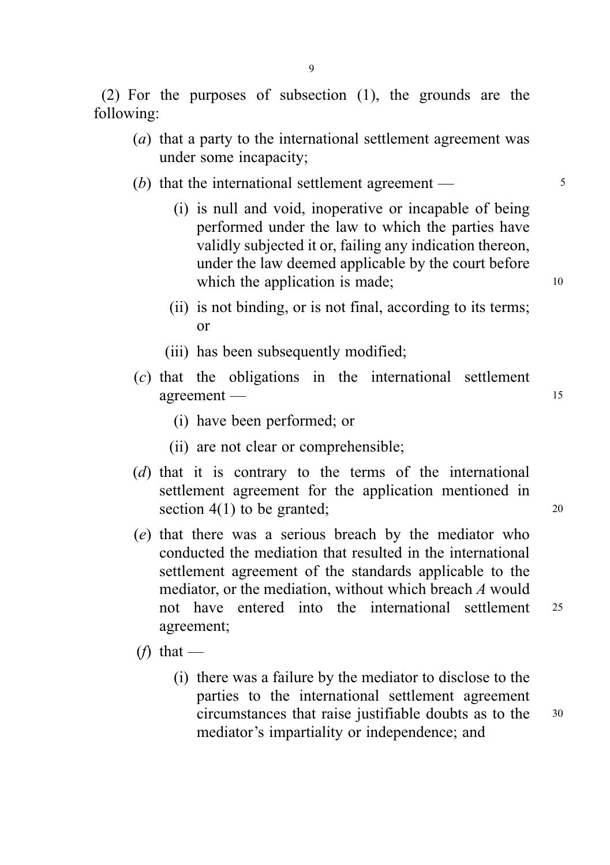(2) For the purposes of subsection (1), the grounds are the following:

- (a) that a party to the international settlement agreement was under some incapacity;
- (b) that the international settlement agreement 5
	- (i) is null and void, inoperative or incapable of being performed under the law to which the parties have validly subjected it or, failing any indication thereon, under the law deemed applicable by the court before which the application is made; 10
	- (ii) is not binding, or is not final, according to its terms; or
	- (iii) has been subsequently modified;
- (c) that the obligations in the international settlement agreement — 15
	- (i) have been performed; or
	- (ii) are not clear or comprehensible;
- (d) that it is contrary to the terms of the international settlement agreement for the application mentioned in section  $4(1)$  to be granted; 20
- (e) that there was a serious breach by the mediator who conducted the mediation that resulted in the international settlement agreement of the standards applicable to the mediator, or the mediation, without which breach A would not have entered into the international settlement <sup>25</sup> agreement;
- (*f*) that
	- (i) there was a failure by the mediator to disclose to the parties to the international settlement agreement circumstances that raise justifiable doubts as to the <sup>30</sup> mediator's impartiality or independence; and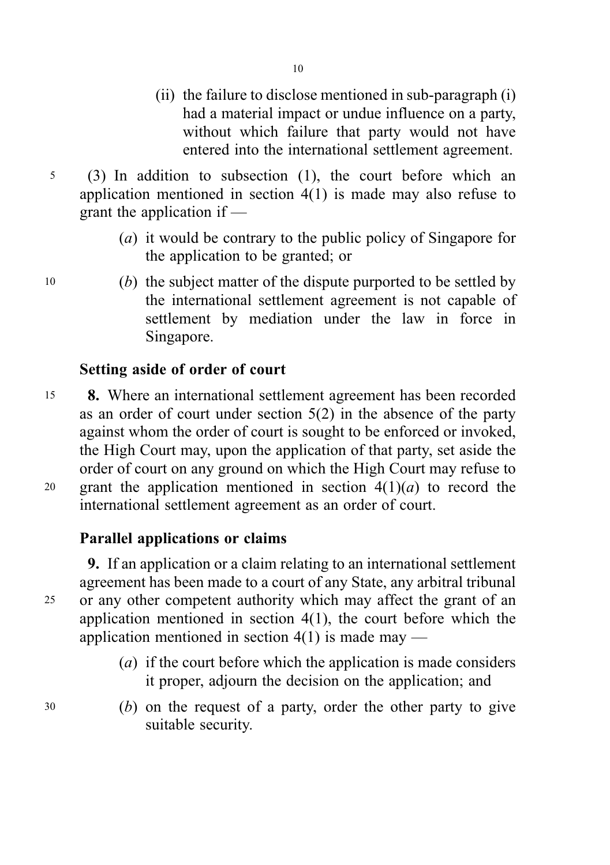- (ii) the failure to disclose mentioned in sub-paragraph (i) had a material impact or undue influence on a party, without which failure that party would not have entered into the international settlement agreement.
- <sup>5</sup> (3) In addition to subsection (1), the court before which an application mentioned in section 4(1) is made may also refuse to grant the application if —
	- (a) it would be contrary to the public policy of Singapore for the application to be granted; or
- <sup>10</sup> (b) the subject matter of the dispute purported to be settled by the international settlement agreement is not capable of settlement by mediation under the law in force in Singapore.

# Setting aside of order of court

<sup>15</sup> 8. Where an international settlement agreement has been recorded as an order of court under section 5(2) in the absence of the party against whom the order of court is sought to be enforced or invoked, the High Court may, upon the application of that party, set aside the order of court on any ground on which the High Court may refuse to 20 grant the application mentioned in section  $4(1)(a)$  to record the international settlement agreement as an order of court.

# Parallel applications or claims

9. If an application or a claim relating to an international settlement agreement has been made to a court of any State, any arbitral tribunal <sup>25</sup> or any other competent authority which may affect the grant of an application mentioned in section 4(1), the court before which the application mentioned in section  $4(1)$  is made may —

- (a) if the court before which the application is made considers it proper, adjourn the decision on the application; and
- <sup>30</sup> (b) on the request of a party, order the other party to give suitable security.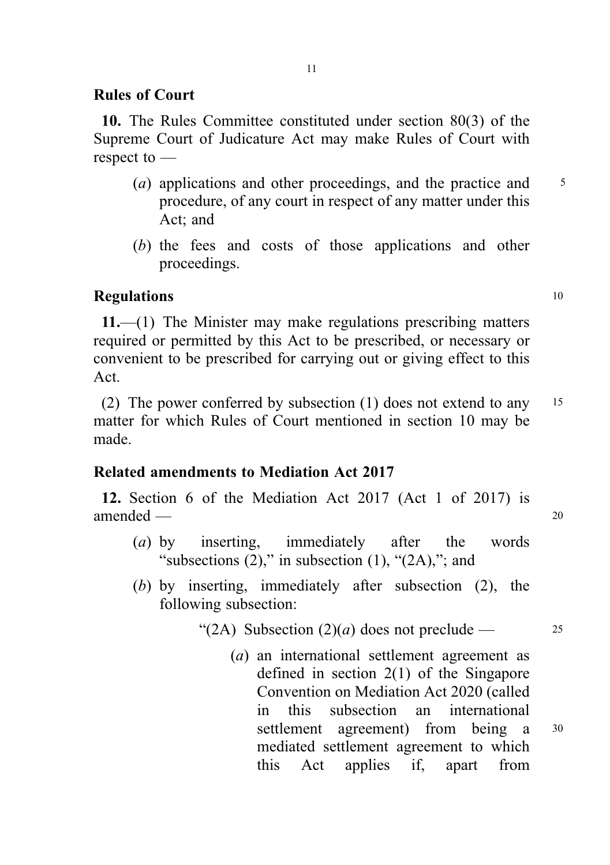# Rules of Court

10. The Rules Committee constituted under section 80(3) of the Supreme Court of Judicature Act may make Rules of Court with respect to —

- (a) applications and other proceedings, and the practice and  $\frac{5}{5}$ procedure, of any court in respect of any matter under this Act; and
- (b) the fees and costs of those applications and other proceedings.

# Regulations and the contract of the contract of the contract of the contract of the contract of the contract of the contract of the contract of the contract of the contract of the contract of the contract of the contract o

11.—(1) The Minister may make regulations prescribing matters required or permitted by this Act to be prescribed, or necessary or convenient to be prescribed for carrying out or giving effect to this Act.

(2) The power conferred by subsection (1) does not extend to any <sup>15</sup> matter for which Rules of Court mentioned in section 10 may be made.

## Related amendments to Mediation Act 2017

12. Section 6 of the Mediation Act 2017 (Act 1 of 2017) is amended — 20

- (a) by inserting, immediately after the words "subsections  $(2)$ ," in subsection  $(1)$ , " $(2A)$ ,"; and
- (b) by inserting, immediately after subsection (2), the following subsection:

"(2A) Subsection  $(2)(a)$  does not preclude — 25

(a) an international settlement agreement as defined in section 2(1) of the Singapore Convention on Mediation Act 2020 (called in this subsection an international settlement agreement) from being a  $30$ mediated settlement agreement to which this Act applies if, apart from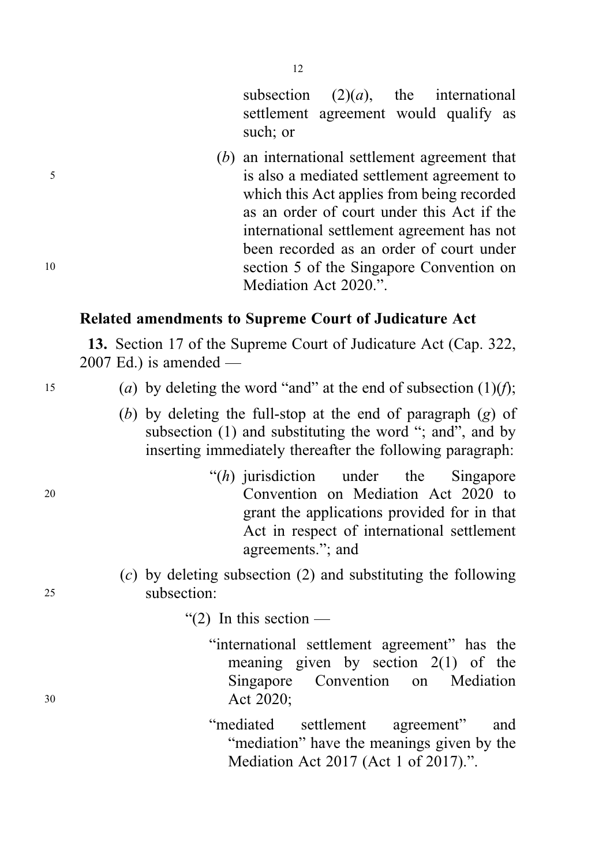subsection  $(2)(a)$ , the international settlement agreement would qualify as such; or

(b) an international settlement agreement that <sup>5</sup> is also a mediated settlement agreement to which this Act applies from being recorded as an order of court under this Act if the international settlement agreement has not been recorded as an order of court under <sup>10</sup> section 5 of the Singapore Convention on Mediation Act 2020."

## Related amendments to Supreme Court of Judicature Act

13. Section 17 of the Supreme Court of Judicature Act (Cap. 322,  $2007$  Ed.) is amended —

- 
- 15 (a) by deleting the word "and" at the end of subsection  $(1)(f)$ ;
	- (b) by deleting the full-stop at the end of paragraph  $(g)$  of subsection (1) and substituting the word "; and", and by inserting immediately thereafter the following paragraph:
- $f(h)$  jurisdiction under the Singapore <sup>20</sup> Convention on Mediation Act 2020 to grant the applications provided for in that Act in respect of international settlement agreements."; and
- $(c)$  by deleting subsection (2) and substituting the following <sup>25</sup> subsection:
	- " $(2)$  In this section —
- "international settlement agreement" has the meaning given by section  $2(1)$  of the Singapore Convention on Mediation <sup>30</sup> Act 2020;
	- "mediated settlement agreement" and "mediation" have the meanings given by the Mediation Act 2017 (Act 1 of 2017).".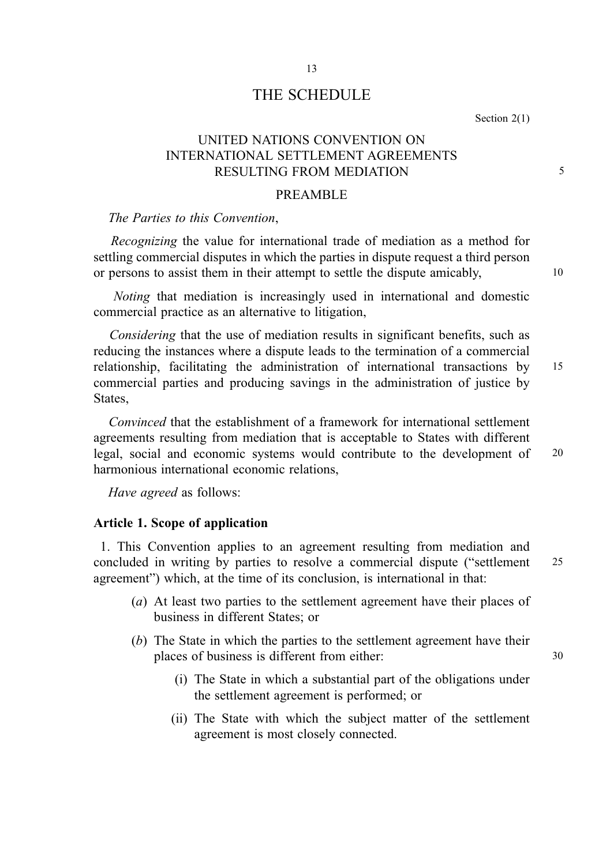## THE SCHEDULE

13

Section 2(1)

## UNITED NATIONS CONVENTION ON INTERNATIONAL SETTLEMENT AGREEMENTS RESULTING FROM MEDIATION 5

#### PREAMBLE

### The Parties to this Convention,

Recognizing the value for international trade of mediation as a method for settling commercial disputes in which the parties in dispute request a third person or persons to assist them in their attempt to settle the dispute amicably, 10

Noting that mediation is increasingly used in international and domestic commercial practice as an alternative to litigation,

Considering that the use of mediation results in significant benefits, such as reducing the instances where a dispute leads to the termination of a commercial relationship, facilitating the administration of international transactions by 15 commercial parties and producing savings in the administration of justice by States,

Convinced that the establishment of a framework for international settlement agreements resulting from mediation that is acceptable to States with different legal, social and economic systems would contribute to the development of 20 harmonious international economic relations,

Have agreed as follows:

### Article 1. Scope of application

1. This Convention applies to an agreement resulting from mediation and concluded in writing by parties to resolve a commercial dispute ("settlement 25 agreement") which, at the time of its conclusion, is international in that:

- (a) At least two parties to the settlement agreement have their places of business in different States; or
- (b) The State in which the parties to the settlement agreement have their places of business is different from either: 30
	- (i) The State in which a substantial part of the obligations under the settlement agreement is performed; or
	- (ii) The State with which the subject matter of the settlement agreement is most closely connected.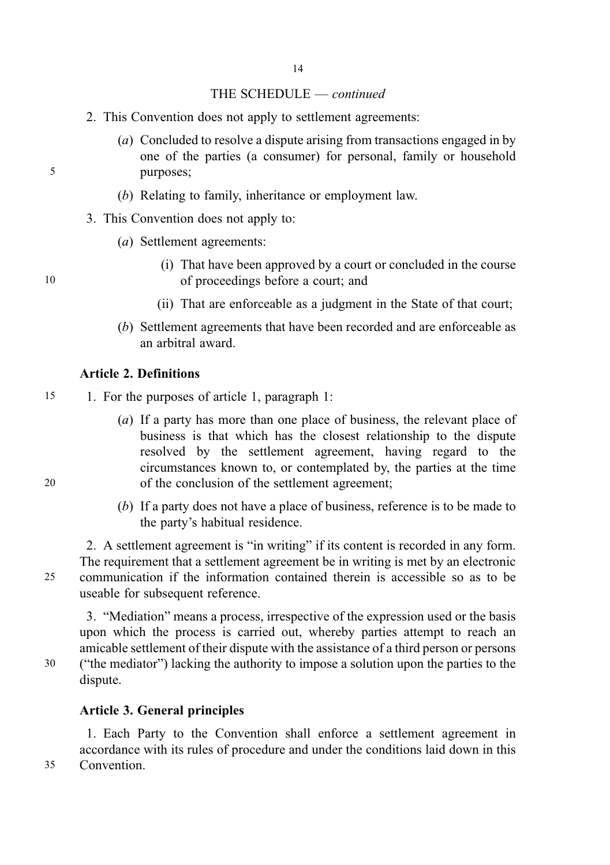- 2. This Convention does not apply to settlement agreements:
- (a) Concluded to resolve a dispute arising from transactions engaged in by one of the parties (a consumer) for personal, family or household 5 purposes;
	- (b) Relating to family, inheritance or employment law.
	- 3. This Convention does not apply to:
		- (a) Settlement agreements:
- (i) That have been approved by a court or concluded in the course 10 of proceedings before a court; and
	- (ii) That are enforceable as a judgment in the State of that court;
	- (b) Settlement agreements that have been recorded and are enforceable as an arbitral award.

### Article 2. Definitions

15 1. For the purposes of article 1, paragraph 1:

- (a) If a party has more than one place of business, the relevant place of business is that which has the closest relationship to the dispute resolved by the settlement agreement, having regard to the circumstances known to, or contemplated by, the parties at the time 20 of the conclusion of the settlement agreement;
	- (b) If a party does not have a place of business, reference is to be made to the party's habitual residence.

2. A settlement agreement is "in writing" if its content is recorded in any form. The requirement that a settlement agreement be in writing is met by an electronic 25 communication if the information contained therein is accessible so as to be useable for subsequent reference.

3. "Mediation" means a process, irrespective of the expression used or the basis upon which the process is carried out, whereby parties attempt to reach an amicable settlement of their dispute with the assistance of a third person or persons 30 ("the mediator") lacking the authority to impose a solution upon the parties to the dispute.

### Article 3. General principles

1. Each Party to the Convention shall enforce a settlement agreement in accordance with its rules of procedure and under the conditions laid down in this 35 Convention.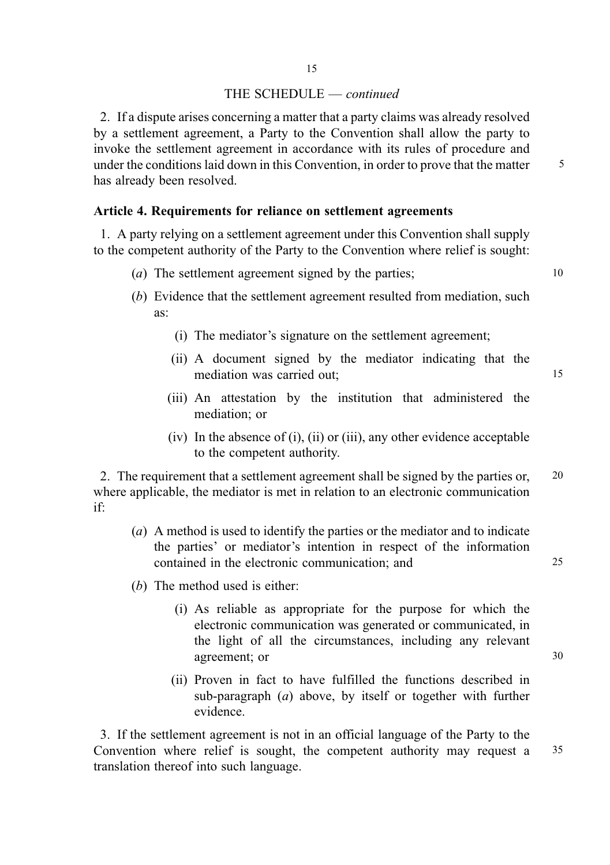2. If a dispute arises concerning a matter that a party claims was already resolved by a settlement agreement, a Party to the Convention shall allow the party to invoke the settlement agreement in accordance with its rules of procedure and under the conditions laid down in this Convention, in order to prove that the matter  $\frac{5}{5}$ has already been resolved.

### Article 4. Requirements for reliance on settlement agreements

1. A party relying on a settlement agreement under this Convention shall supply to the competent authority of the Party to the Convention where relief is sought:

- (a) The settlement agreement signed by the parties;  $10$
- (b) Evidence that the settlement agreement resulted from mediation, such as:
	- (i) The mediator's signature on the settlement agreement;
	- (ii) A document signed by the mediator indicating that the mediation was carried out: 15

- (iii) An attestation by the institution that administered the mediation; or
- (iv) In the absence of (i), (ii) or (iii), any other evidence acceptable to the competent authority.

2. The requirement that a settlement agreement shall be signed by the parties or, 20 where applicable, the mediator is met in relation to an electronic communication if:

- (a) A method is used to identify the parties or the mediator and to indicate the parties' or mediator's intention in respect of the information contained in the electronic communication; and 25
- (b) The method used is either:
	- (i) As reliable as appropriate for the purpose for which the electronic communication was generated or communicated, in the light of all the circumstances, including any relevant agreement; or 30
	- (ii) Proven in fact to have fulfilled the functions described in sub-paragraph (a) above, by itself or together with further evidence.

3. If the settlement agreement is not in an official language of the Party to the Convention where relief is sought, the competent authority may request a 35 translation thereof into such language.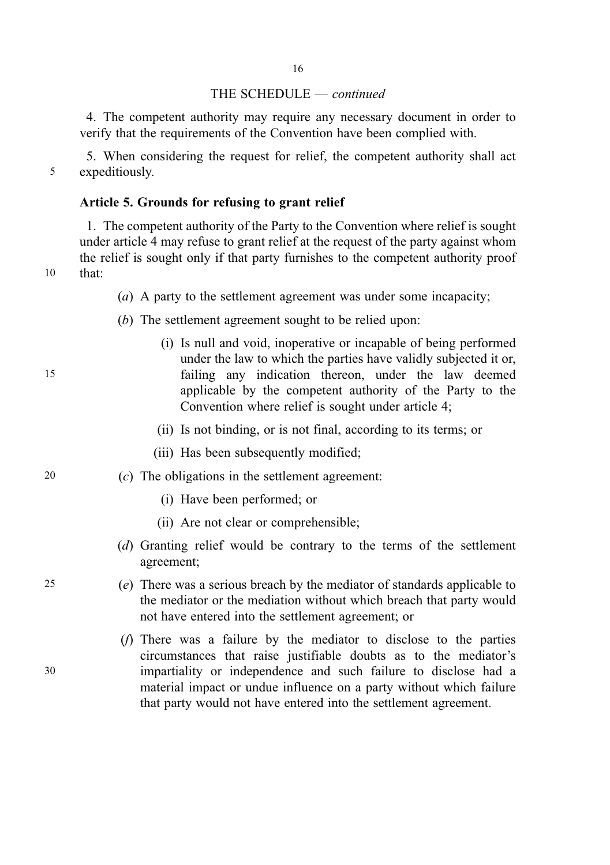4. The competent authority may require any necessary document in order to verify that the requirements of the Convention have been complied with.

5. When considering the request for relief, the competent authority shall act 5 expeditiously.

### Article 5. Grounds for refusing to grant relief

1. The competent authority of the Party to the Convention where relief is sought under article 4 may refuse to grant relief at the request of the party against whom the relief is sought only if that party furnishes to the competent authority proof

 $10$  that:

- (a) A party to the settlement agreement was under some incapacity;
- (b) The settlement agreement sought to be relied upon:
- (i) Is null and void, inoperative or incapable of being performed under the law to which the parties have validly subjected it or, 15 failing any indication thereon, under the law deemed applicable by the competent authority of the Party to the Convention where relief is sought under article 4;
	- (ii) Is not binding, or is not final, according to its terms; or
	- (iii) Has been subsequently modified;
- 20  $(c)$  The obligations in the settlement agreement:
	- (i) Have been performed; or
	- (ii) Are not clear or comprehensible;
	- (d) Granting relief would be contrary to the terms of the settlement agreement;
- 25 (e) There was a serious breach by the mediator of standards applicable to the mediator or the mediation without which breach that party would not have entered into the settlement agreement; or
- (f) There was a failure by the mediator to disclose to the parties circumstances that raise justifiable doubts as to the mediator's 30 impartiality or independence and such failure to disclose had a material impact or undue influence on a party without which failure that party would not have entered into the settlement agreement.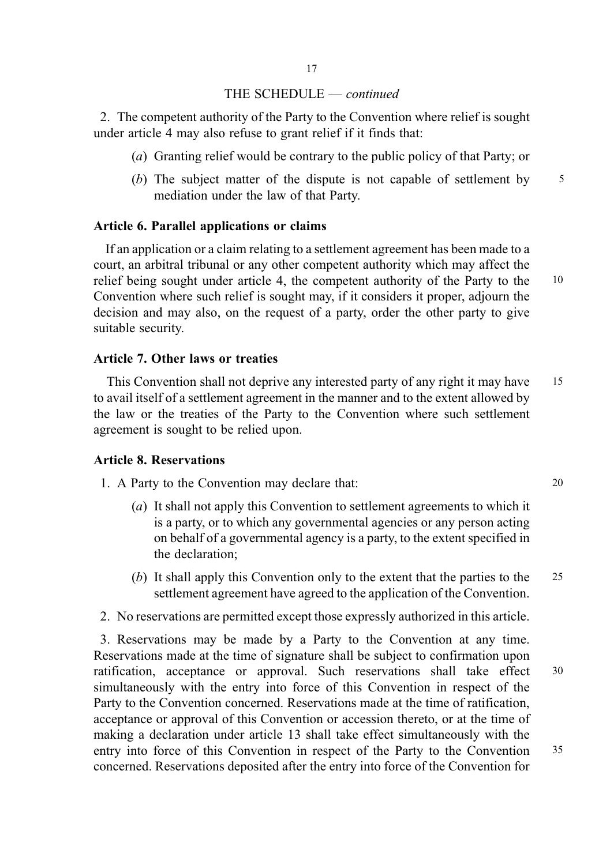2. The competent authority of the Party to the Convention where relief is sought under article 4 may also refuse to grant relief if it finds that:

- (a) Granting relief would be contrary to the public policy of that Party; or
- (b) The subject matter of the dispute is not capable of settlement by 5 mediation under the law of that Party.

### Article 6. Parallel applications or claims

If an application or a claim relating to a settlement agreement has been made to a court, an arbitral tribunal or any other competent authority which may affect the relief being sought under article 4, the competent authority of the Party to the 10 Convention where such relief is sought may, if it considers it proper, adjourn the decision and may also, on the request of a party, order the other party to give suitable security.

## Article 7. Other laws or treaties

This Convention shall not deprive any interested party of any right it may have 15 to avail itself of a settlement agreement in the manner and to the extent allowed by the law or the treaties of the Party to the Convention where such settlement agreement is sought to be relied upon.

#### Article 8. Reservations

1. A Party to the Convention may declare that: 20

- (a) It shall not apply this Convention to settlement agreements to which it is a party, or to which any governmental agencies or any person acting on behalf of a governmental agency is a party, to the extent specified in the declaration;
- (b) It shall apply this Convention only to the extent that the parties to the 25 settlement agreement have agreed to the application of the Convention.
- 2. No reservations are permitted except those expressly authorized in this article.

3. Reservations may be made by a Party to the Convention at any time. Reservations made at the time of signature shall be subject to confirmation upon ratification, acceptance or approval. Such reservations shall take effect 30 simultaneously with the entry into force of this Convention in respect of the Party to the Convention concerned. Reservations made at the time of ratification, acceptance or approval of this Convention or accession thereto, or at the time of making a declaration under article 13 shall take effect simultaneously with the entry into force of this Convention in respect of the Party to the Convention 35 concerned. Reservations deposited after the entry into force of the Convention for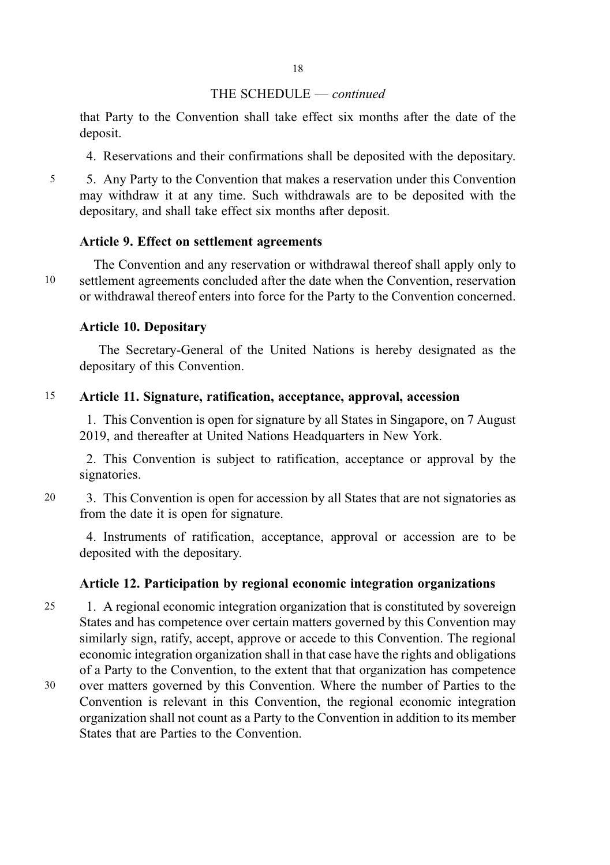that Party to the Convention shall take effect six months after the date of the deposit.

4. Reservations and their confirmations shall be deposited with the depositary.

5 5. Any Party to the Convention that makes a reservation under this Convention may withdraw it at any time. Such withdrawals are to be deposited with the depositary, and shall take effect six months after deposit.

## Article 9. Effect on settlement agreements

The Convention and any reservation or withdrawal thereof shall apply only to 10 settlement agreements concluded after the date when the Convention, reservation or withdrawal thereof enters into force for the Party to the Convention concerned.

## Article 10. Depositary

The Secretary-General of the United Nations is hereby designated as the depositary of this Convention.

## 15 Article 11. Signature, ratification, acceptance, approval, accession

1. This Convention is open for signature by all States in Singapore, on 7 August 2019, and thereafter at United Nations Headquarters in New York.

2. This Convention is subject to ratification, acceptance or approval by the signatories.

20 3. This Convention is open for accession by all States that are not signatories as from the date it is open for signature.

4. Instruments of ratification, acceptance, approval or accession are to be deposited with the depositary.

## Article 12. Participation by regional economic integration organizations

25 1. A regional economic integration organization that is constituted by sovereign States and has competence over certain matters governed by this Convention may similarly sign, ratify, accept, approve or accede to this Convention. The regional economic integration organization shall in that case have the rights and obligations of a Party to the Convention, to the extent that that organization has competence 30 over matters governed by this Convention. Where the number of Parties to the Convention is relevant in this Convention, the regional economic integration organization shall not count as a Party to the Convention in addition to its member States that are Parties to the Convention.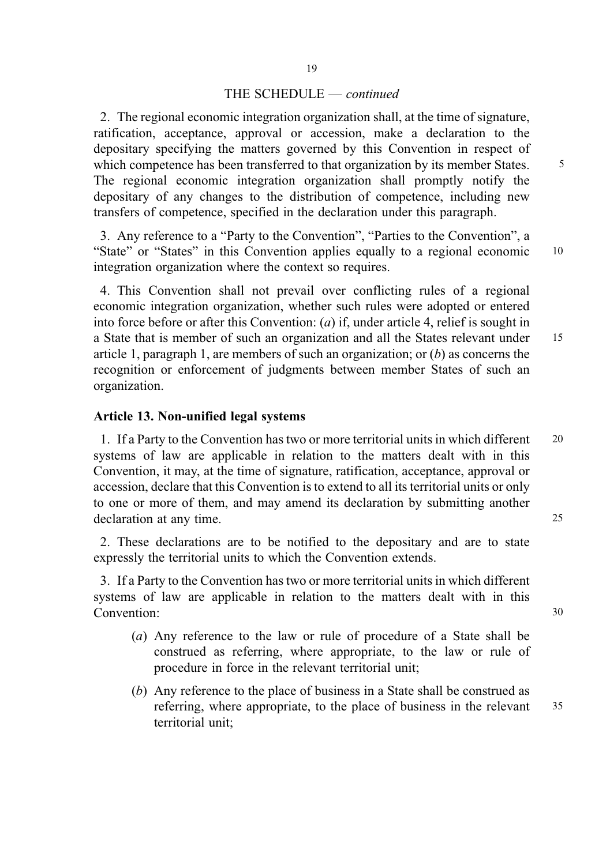2. The regional economic integration organization shall, at the time of signature, ratification, acceptance, approval or accession, make a declaration to the depositary specifying the matters governed by this Convention in respect of which competence has been transferred to that organization by its member States.  $\frac{5}{2}$ The regional economic integration organization shall promptly notify the depositary of any changes to the distribution of competence, including new transfers of competence, specified in the declaration under this paragraph.

3. Any reference to a "Party to the Convention", "Parties to the Convention", a "State" or "States" in this Convention applies equally to a regional economic 10 integration organization where the context so requires.

4. This Convention shall not prevail over conflicting rules of a regional economic integration organization, whether such rules were adopted or entered into force before or after this Convention: (a) if, under article 4, relief is sought in a State that is member of such an organization and all the States relevant under 15 article 1, paragraph 1, are members of such an organization; or  $(b)$  as concerns the recognition or enforcement of judgments between member States of such an organization.

### Article 13. Non-unified legal systems

1. If a Party to the Convention has two or more territorial units in which different 20 systems of law are applicable in relation to the matters dealt with in this Convention, it may, at the time of signature, ratification, acceptance, approval or accession, declare that this Convention is to extend to all its territorial units or only to one or more of them, and may amend its declaration by submitting another declaration at any time. 25

2. These declarations are to be notified to the depositary and are to state expressly the territorial units to which the Convention extends.

3. If a Party to the Convention has two or more territorial units in which different systems of law are applicable in relation to the matters dealt with in this Convention: 30

- (a) Any reference to the law or rule of procedure of a State shall be construed as referring, where appropriate, to the law or rule of procedure in force in the relevant territorial unit;
- (b) Any reference to the place of business in a State shall be construed as referring, where appropriate, to the place of business in the relevant 35 territorial unit;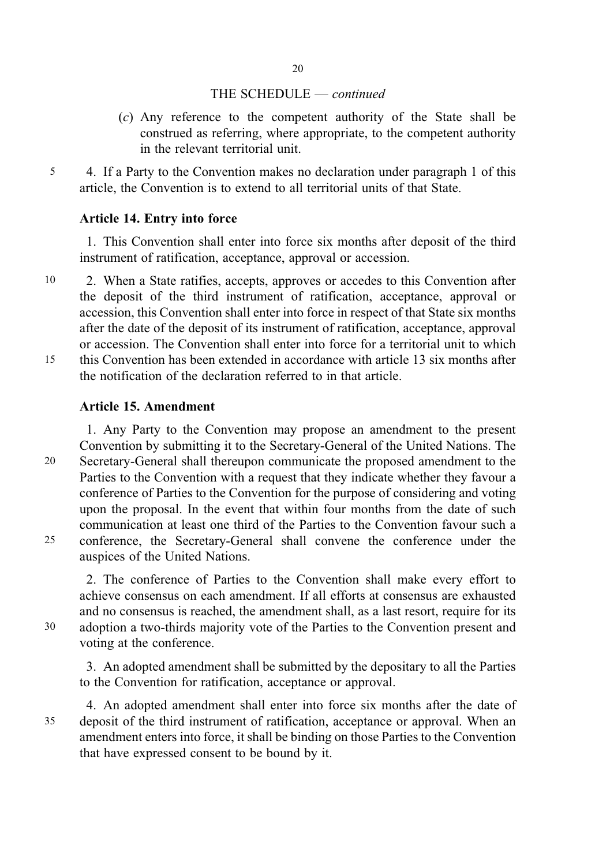- (c) Any reference to the competent authority of the State shall be construed as referring, where appropriate, to the competent authority in the relevant territorial unit.
- 5 4. If a Party to the Convention makes no declaration under paragraph 1 of this article, the Convention is to extend to all territorial units of that State.

### Article 14. Entry into force

1. This Convention shall enter into force six months after deposit of the third instrument of ratification, acceptance, approval or accession.

- 10 2. When a State ratifies, accepts, approves or accedes to this Convention after the deposit of the third instrument of ratification, acceptance, approval or accession, this Convention shall enter into force in respect of that State six months after the date of the deposit of its instrument of ratification, acceptance, approval or accession. The Convention shall enter into force for a territorial unit to which
- 15 this Convention has been extended in accordance with article 13 six months after the notification of the declaration referred to in that article.

### Article 15. Amendment

1. Any Party to the Convention may propose an amendment to the present Convention by submitting it to the Secretary-General of the United Nations. The 20 Secretary-General shall thereupon communicate the proposed amendment to the Parties to the Convention with a request that they indicate whether they favour a conference of Parties to the Convention for the purpose of considering and voting upon the proposal. In the event that within four months from the date of such communication at least one third of the Parties to the Convention favour such a 25 conference, the Secretary-General shall convene the conference under the auspices of the United Nations.

2. The conference of Parties to the Convention shall make every effort to achieve consensus on each amendment. If all efforts at consensus are exhausted and no consensus is reached, the amendment shall, as a last resort, require for its 30 adoption a two-thirds majority vote of the Parties to the Convention present and voting at the conference.

3. An adopted amendment shall be submitted by the depositary to all the Parties to the Convention for ratification, acceptance or approval.

4. An adopted amendment shall enter into force six months after the date of 35 deposit of the third instrument of ratification, acceptance or approval. When an amendment enters into force, it shall be binding on those Parties to the Convention that have expressed consent to be bound by it.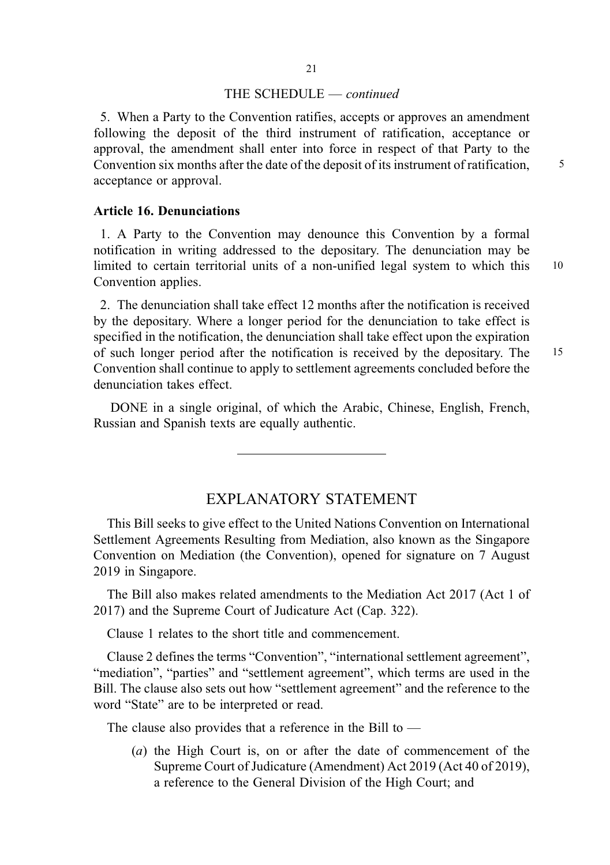5. When a Party to the Convention ratifies, accepts or approves an amendment following the deposit of the third instrument of ratification, acceptance or approval, the amendment shall enter into force in respect of that Party to the Convention six months after the date of the deposit of its instrument of ratification,  $\frac{5}{2}$ acceptance or approval.

### Article 16. Denunciations

1. A Party to the Convention may denounce this Convention by a formal notification in writing addressed to the depositary. The denunciation may be limited to certain territorial units of a non-unified legal system to which this 10 Convention applies.

2. The denunciation shall take effect 12 months after the notification is received by the depositary. Where a longer period for the denunciation to take effect is specified in the notification, the denunciation shall take effect upon the expiration of such longer period after the notification is received by the depositary. The 15 Convention shall continue to apply to settlement agreements concluded before the denunciation takes effect.

DONE in a single original, of which the Arabic, Chinese, English, French, Russian and Spanish texts are equally authentic.

## EXPLANATORY STATEMENT

This Bill seeks to give effect to the United Nations Convention on International Settlement Agreements Resulting from Mediation, also known as the Singapore Convention on Mediation (the Convention), opened for signature on 7 August 2019 in Singapore.

The Bill also makes related amendments to the Mediation Act 2017 (Act 1 of 2017) and the Supreme Court of Judicature Act (Cap. 322).

Clause 1 relates to the short title and commencement.

Clause 2 defines the terms "Convention", "international settlement agreement", "mediation", "parties" and "settlement agreement", which terms are used in the Bill. The clause also sets out how "settlement agreement" and the reference to the word "State" are to be interpreted or read.

The clause also provides that a reference in the Bill to  $-$ 

(a) the High Court is, on or after the date of commencement of the Supreme Court of Judicature (Amendment) Act 2019 (Act 40 of 2019), a reference to the General Division of the High Court; and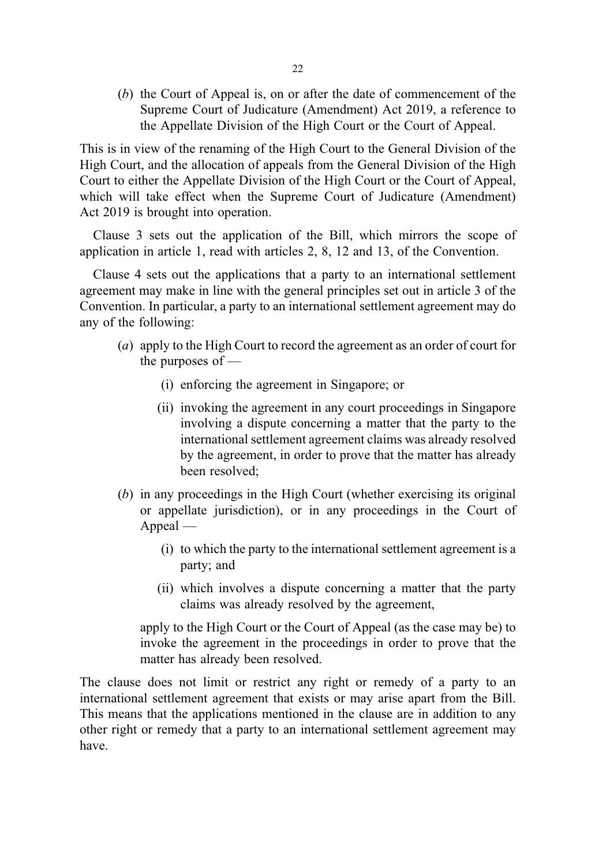(b) the Court of Appeal is, on or after the date of commencement of the Supreme Court of Judicature (Amendment) Act 2019, a reference to the Appellate Division of the High Court or the Court of Appeal.

This is in view of the renaming of the High Court to the General Division of the High Court, and the allocation of appeals from the General Division of the High Court to either the Appellate Division of the High Court or the Court of Appeal, which will take effect when the Supreme Court of Judicature (Amendment) Act 2019 is brought into operation.

Clause 3 sets out the application of the Bill, which mirrors the scope of application in article 1, read with articles 2, 8, 12 and 13, of the Convention.

Clause 4 sets out the applications that a party to an international settlement agreement may make in line with the general principles set out in article 3 of the Convention. In particular, a party to an international settlement agreement may do any of the following:

- (a) apply to the High Court to record the agreement as an order of court for the purposes of —
	- (i) enforcing the agreement in Singapore; or
	- (ii) invoking the agreement in any court proceedings in Singapore involving a dispute concerning a matter that the party to the international settlement agreement claims was already resolved by the agreement, in order to prove that the matter has already been resolved;
- (b) in any proceedings in the High Court (whether exercising its original or appellate jurisdiction), or in any proceedings in the Court of Appeal —
	- (i) to which the party to the international settlement agreement is a party; and
	- (ii) which involves a dispute concerning a matter that the party claims was already resolved by the agreement,

apply to the High Court or the Court of Appeal (as the case may be) to invoke the agreement in the proceedings in order to prove that the matter has already been resolved.

The clause does not limit or restrict any right or remedy of a party to an international settlement agreement that exists or may arise apart from the Bill. This means that the applications mentioned in the clause are in addition to any other right or remedy that a party to an international settlement agreement may have.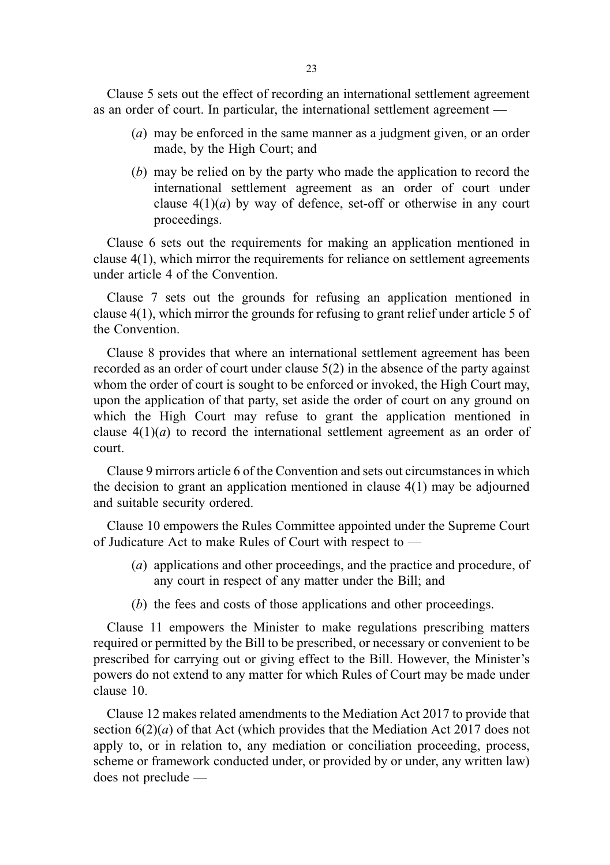Clause 5 sets out the effect of recording an international settlement agreement as an order of court. In particular, the international settlement agreement —

- (a) may be enforced in the same manner as a judgment given, or an order made, by the High Court; and
- (b) may be relied on by the party who made the application to record the international settlement agreement as an order of court under clause  $4(1)(a)$  by way of defence, set-off or otherwise in any court proceedings.

Clause 6 sets out the requirements for making an application mentioned in clause 4(1), which mirror the requirements for reliance on settlement agreements under article 4 of the Convention.

Clause 7 sets out the grounds for refusing an application mentioned in clause 4(1), which mirror the grounds for refusing to grant relief under article 5 of the Convention.

Clause 8 provides that where an international settlement agreement has been recorded as an order of court under clause 5(2) in the absence of the party against whom the order of court is sought to be enforced or invoked, the High Court may, upon the application of that party, set aside the order of court on any ground on which the High Court may refuse to grant the application mentioned in clause  $4(1)(a)$  to record the international settlement agreement as an order of court.

Clause 9 mirrors article 6 of the Convention and sets out circumstances in which the decision to grant an application mentioned in clause 4(1) may be adjourned and suitable security ordered.

Clause 10 empowers the Rules Committee appointed under the Supreme Court of Judicature Act to make Rules of Court with respect to —

- (a) applications and other proceedings, and the practice and procedure, of any court in respect of any matter under the Bill; and
- (b) the fees and costs of those applications and other proceedings.

Clause 11 empowers the Minister to make regulations prescribing matters required or permitted by the Bill to be prescribed, or necessary or convenient to be prescribed for carrying out or giving effect to the Bill. However, the Minister's powers do not extend to any matter for which Rules of Court may be made under clause 10.

Clause 12 makes related amendments to the Mediation Act 2017 to provide that section  $6(2)(a)$  of that Act (which provides that the Mediation Act 2017 does not apply to, or in relation to, any mediation or conciliation proceeding, process, scheme or framework conducted under, or provided by or under, any written law) does not preclude —